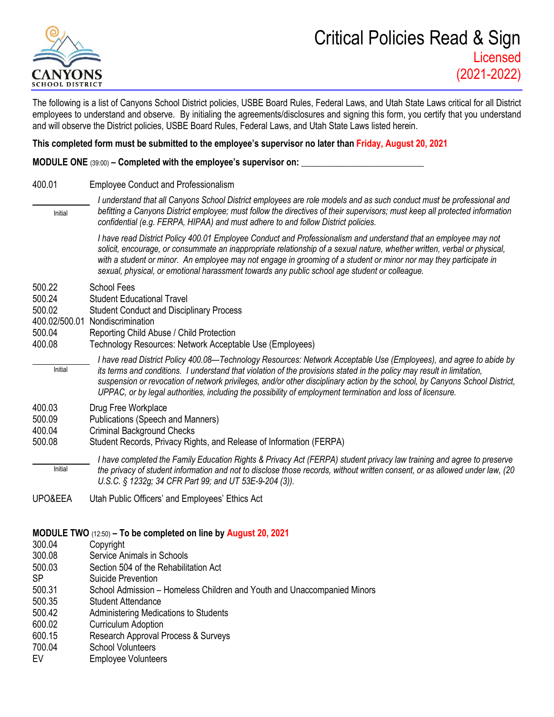

## Critical Policies Read & Sign Licensed (2021-2022)

The following is a list of Canyons School District policies, USBE Board Rules, Federal Laws, and Utah State Laws critical for all District employees to understand and observe. By initialing the agreements/disclosures and signing this form, you certify that you understand and will observe the District policies, USBE Board Rules, Federal Laws, and Utah State Laws listed herein.

## **This completed form must be submitted to the employee's supervisor no later than Friday, August 20, 2021**

**MODULE ONE** (39:00) **– Completed with the employee's supervisor on: \_\_\_\_\_\_\_\_\_\_\_\_\_\_\_\_\_\_\_\_\_\_\_\_\_\_\_**

- 400.01 Employee Conduct and Professionalism
	- *I understand that all Canyons School District employees are role models and as such conduct must be professional and befitting a Canyons District employee; must follow the directives of their supervisors; must keep all protected information confidential (e.g. FERPA, HIPAA) and must adhere to and follow District policies.*  Initial

*I have read District Policy 400.01 Employee Conduct and Professionalism and understand that an employee may not solicit, encourage, or consummate an inappropriate relationship of a sexual nature, whether written, verbal or physical, with a student or minor. An employee may not engage in grooming of a student or minor nor may they participate in sexual, physical, or emotional harassment towards any public school age student or colleague.*

- 500.22 School Fees
- 500.24 Student Educational Travel
- 500.02 Student Conduct and Disciplinary Process
- 400.02/500.01 Nondiscrimination
- 500.04 Reporting Child Abuse / Child Protection
- 400.08 Technology Resources: Network Acceptable Use (Employees)
- *I have read District Policy 400.08—Technology Resources: Network Acceptable Use (Employees), and agree to abide by its terms and conditions. I understand that violation of the provisions stated in the policy may result in limitation, suspension or revocation of network privileges, and/or other disciplinary action by the school, by Canyons School District, UPPAC, or by legal authorities, including the possibility of employment termination and loss of licensure.* Initial
- 400.03 Drug Free Workplace
- 500.09 Publications (Speech and Manners)
- 400.04 Criminal Background Checks
- 500.08 Student Records, Privacy Rights, and Release of Information (FERPA)
- *I have completed the Family Education Rights & Privacy Act (FERPA) student privacy law training and agree to preserve the privacy of student information and not to disclose those records, without written consent, or as allowed under law, (20 U.S.C. § 1232g; 34 CFR Part 99; and UT 53E-9-204 (3)).* Initial
- UPO&EEA Utah Public Officers' and Employees' Ethics Act

## **MODULE TWO** (12:50) **– To be completed on line by August 20, 2021**

- 300.04 Copyright
- 300.08 Service Animals in Schools
- 500.03 Section 504 of the Rehabilitation Act
- SP Suicide Prevention
- 500.31 School Admission Homeless Children and Youth and Unaccompanied Minors
- 500.35 Student Attendance
- 500.42 Administering Medications to Students
- 600.02 Curriculum Adoption
- 600.15 Research Approval Process & Surveys
- 700.04 School Volunteers
- EV Employee Volunteers